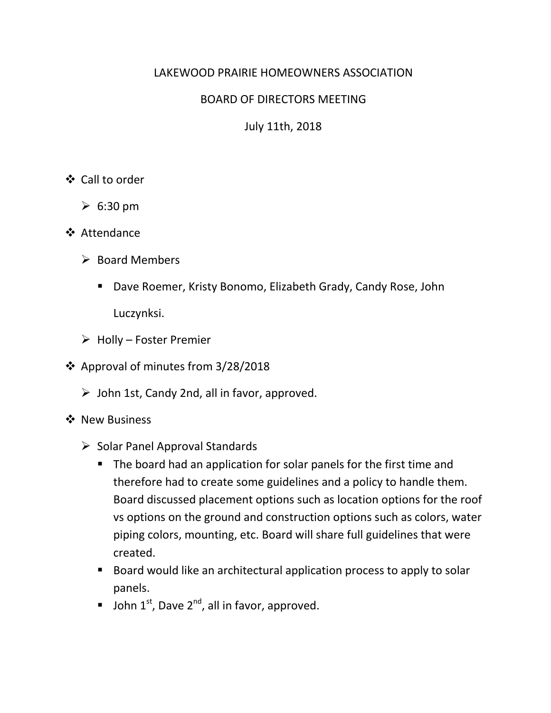### LAKEWOOD PRAIRIE HOMEOWNERS ASSOCIATION

### BOARD OF DIRECTORS MEETING

July 11th, 2018

### Call to order

- $\geqslant 6:30 \text{ pm}$
- **❖** Attendance
	- $\triangleright$  Board Members
		- Dave Roemer, Kristy Bonomo, Elizabeth Grady, Candy Rose, John Luczynksi.
	- $\triangleright$  Holly Foster Premier
- ❖ Approval of minutes from  $3/28/2018$ 
	- $\triangleright$  John 1st, Candy 2nd, all in favor, approved.
- ❖ New Business
	- $\triangleright$  Solar Panel Approval Standards
		- The board had an application for solar panels for the first time and therefore had to create some guidelines and a policy to handle them. Board discussed placement options such as location options for the roof vs options on the ground and construction options such as colors, water piping colors, mounting, etc. Board will share full guidelines that were created.
		- Board would like an architectural application process to apply to solar panels.
		- **John 1st, Dave 2<sup>nd</sup>, all in favor, approved.**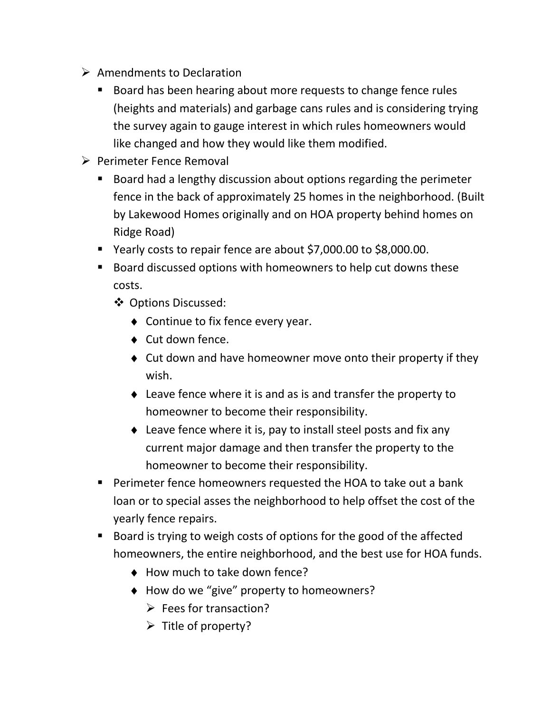- $\triangleright$  Amendments to Declaration
	- Board has been hearing about more requests to change fence rules (heights and materials) and garbage cans rules and is considering trying the survey again to gauge interest in which rules homeowners would like changed and how they would like them modified.
- $\triangleright$  Perimeter Fence Removal
	- Board had a lengthy discussion about options regarding the perimeter fence in the back of approximately 25 homes in the neighborhood. (Built by Lakewood Homes originally and on HOA property behind homes on Ridge Road)
	- Yearly costs to repair fence are about \$7,000.00 to \$8,000.00.
	- Board discussed options with homeowners to help cut downs these costs.
		- Options Discussed:
			- ♦ Continue to fix fence every year.
			- ♦ Cut down fence.
			- ♦ Cut down and have homeowner move onto their property if they wish.
			- ♦ Leave fence where it is and as is and transfer the property to homeowner to become their responsibility.
			- ♦ Leave fence where it is, pay to install steel posts and fix any current major damage and then transfer the property to the homeowner to become their responsibility.
	- **Perimeter fence homeowners requested the HOA to take out a bank** loan or to special asses the neighborhood to help offset the cost of the yearly fence repairs.
	- Board is trying to weigh costs of options for the good of the affected homeowners, the entire neighborhood, and the best use for HOA funds.
		- ♦ How much to take down fence?
		- ♦ How do we "give" property to homeowners?
			- $\triangleright$  Fees for transaction?
			- $\triangleright$  Title of property?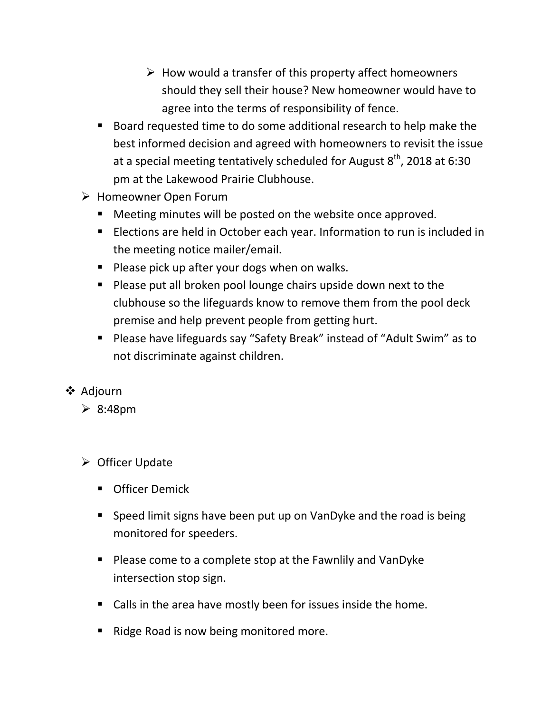- $\triangleright$  How would a transfer of this property affect homeowners should they sell their house? New homeowner would have to agree into the terms of responsibility of fence.
- Board requested time to do some additional research to help make the best informed decision and agreed with homeowners to revisit the issue at a special meeting tentatively scheduled for August  $8^{th}$ , 2018 at 6:30 pm at the Lakewood Prairie Clubhouse.
- Homeowner Open Forum
	- Meeting minutes will be posted on the website once approved.
	- **Elections are held in October each year. Information to run is included in** the meeting notice mailer/email.
	- **Please pick up after your dogs when on walks.**
	- **Please put all broken pool lounge chairs upside down next to the** clubhouse so the lifeguards know to remove them from the pool deck premise and help prevent people from getting hurt.
	- Please have lifeguards say "Safety Break" instead of "Adult Swim" as to not discriminate against children.
- ❖ Adjourn
	- $\geq 8:48 \text{pm}$
	- $\triangleright$  Officer Update
		- **•** Officer Demick
		- Speed limit signs have been put up on VanDyke and the road is being monitored for speeders.
		- Please come to a complete stop at the Fawnlily and VanDyke intersection stop sign.
		- Calls in the area have mostly been for issues inside the home.
		- Ridge Road is now being monitored more.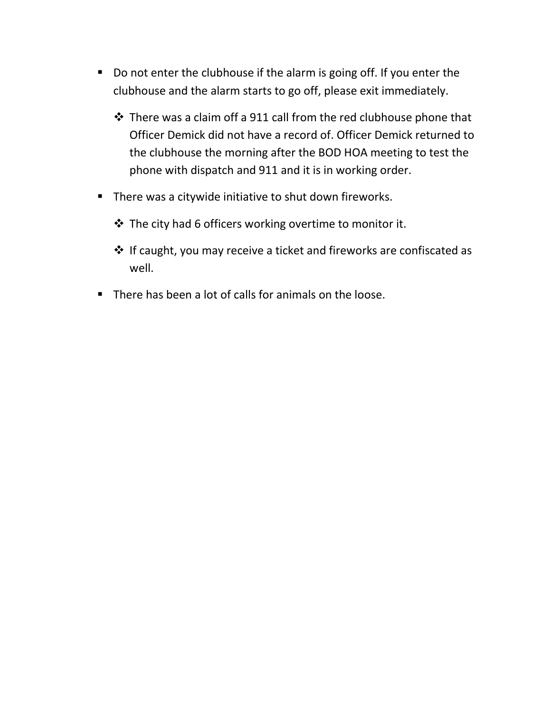- Do not enter the clubhouse if the alarm is going off. If you enter the clubhouse and the alarm starts to go off, please exit immediately.
	- There was a claim off a 911 call from the red clubhouse phone that Officer Demick did not have a record of. Officer Demick returned to the clubhouse the morning after the BOD HOA meeting to test the phone with dispatch and 911 and it is in working order.
- **There was a citywide initiative to shut down fireworks.** 
	- $\triangle$  The city had 6 officers working overtime to monitor it.
	- If caught, you may receive a ticket and fireworks are confiscated as well.
- There has been a lot of calls for animals on the loose.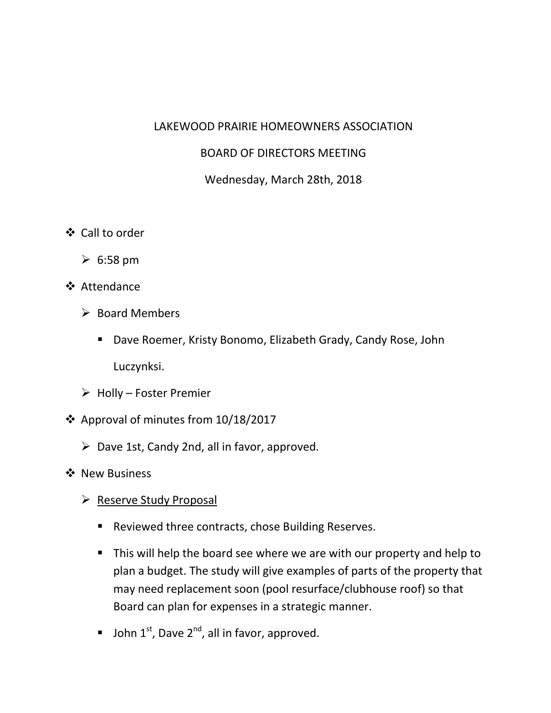#### LAKEWOOD PRAIRIE HOMEOWNERS ASSOCIATION

### BOARD OF DIRECTORS MEETING

### Wednesday, March 28th, 2018

- Call to order
	- $\geqslant 6:58$  pm
- ❖ Attendance
	- $\triangleright$  Board Members
		- Dave Roemer, Kristy Bonomo, Elizabeth Grady, Candy Rose, John Luczynksi.
	- $\triangleright$  Holly Foster Premier
- Approval of minutes from 10/18/2017
	- $\triangleright$  Dave 1st, Candy 2nd, all in favor, approved.
- ❖ New Business
	- $\triangleright$  Reserve Study Proposal
		- **Reviewed three contracts, chose Building Reserves.**
		- This will help the board see where we are with our property and help to plan a budget. The study will give examples of parts of the property that may need replacement soon (pool resurface/clubhouse roof) so that Board can plan for expenses in a strategic manner.
		- **John 1st, Dave 2<sup>nd</sup>, all in favor, approved.**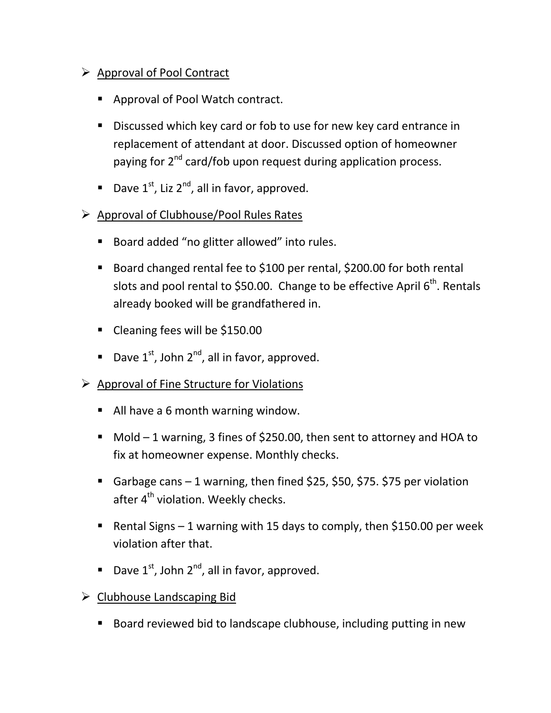# ▶ Approval of Pool Contract

- Approval of Pool Watch contract.
- Discussed which key card or fob to use for new key card entrance in replacement of attendant at door. Discussed option of homeowner paying for 2<sup>nd</sup> card/fob upon request during application process.
- Dave  $1^{st}$ , Liz  $2^{nd}$ , all in favor, approved.
- $\triangleright$  Approval of Clubhouse/Pool Rules Rates
	- Board added "no glitter allowed" into rules.
	- Board changed rental fee to \$100 per rental, \$200.00 for both rental slots and pool rental to \$50.00. Change to be effective April  $6<sup>th</sup>$ . Rentals already booked will be grandfathered in.
	- Cleaning fees will be \$150.00
	- Dave  $1^{st}$ , John  $2^{nd}$ , all in favor, approved.
- Approval of Fine Structure for Violations
	- All have a 6 month warning window.
	- Mold 1 warning, 3 fines of \$250.00, then sent to attorney and HOA to fix at homeowner expense. Monthly checks.
	- Garbage cans  $-1$  warning, then fined \$25, \$50, \$75. \$75 per violation after 4<sup>th</sup> violation. Weekly checks.
	- Rental Signs 1 warning with 15 days to comply, then \$150.00 per week violation after that.
	- Dave  $1^{st}$ , John  $2^{nd}$ , all in favor, approved.
- $\triangleright$  Clubhouse Landscaping Bid
	- Board reviewed bid to landscape clubhouse, including putting in new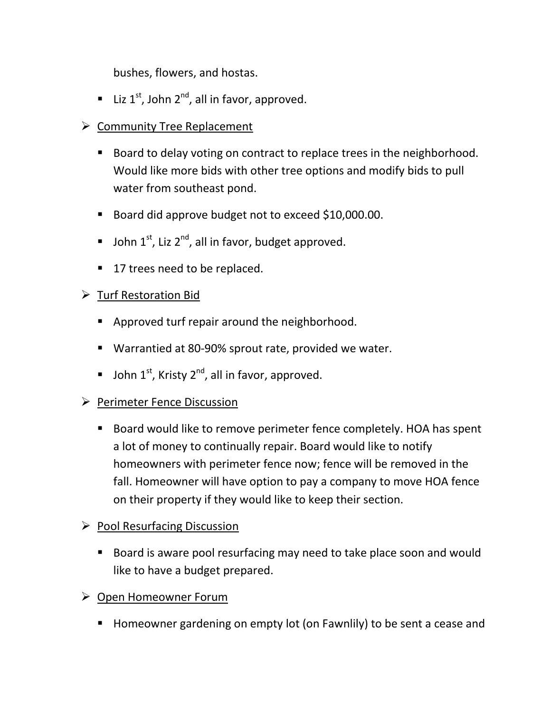bushes, flowers, and hostas.

- **Liz 1<sup>st</sup>**, John 2<sup>nd</sup>, all in favor, approved.
- $\triangleright$  Community Tree Replacement
	- Board to delay voting on contract to replace trees in the neighborhood. Would like more bids with other tree options and modify bids to pull water from southeast pond.
	- Board did approve budget not to exceed \$10,000.00.
	- $\blacksquare$  John 1<sup>st</sup>, Liz 2<sup>nd</sup>, all in favor, budget approved.
	- 17 trees need to be replaced.

# > Turf Restoration Bid

- **Approved turf repair around the neighborhood.**
- Warrantied at 80-90% sprout rate, provided we water.
- **John 1st, Kristy 2<sup>nd</sup>, all in favor, approved.**

## Perimeter Fence Discussion

■ Board would like to remove perimeter fence completely. HOA has spent a lot of money to continually repair. Board would like to notify homeowners with perimeter fence now; fence will be removed in the fall. Homeowner will have option to pay a company to move HOA fence on their property if they would like to keep their section.

## $\triangleright$  Pool Resurfacing Discussion

■ Board is aware pool resurfacing may need to take place soon and would like to have a budget prepared.

## Open Homeowner Forum

■ Homeowner gardening on empty lot (on Fawnlily) to be sent a cease and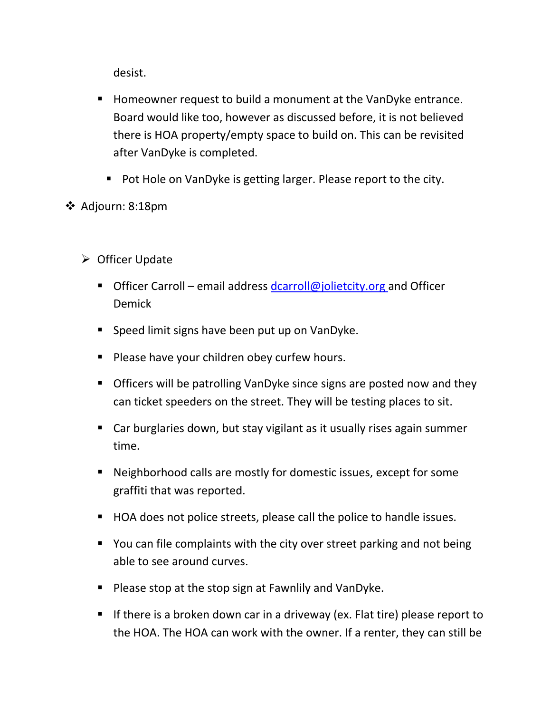desist.

- Homeowner request to build a monument at the VanDyke entrance. Board would like too, however as discussed before, it is not believed there is HOA property/empty space to build on. This can be revisited after VanDyke is completed.
	- Pot Hole on VanDyke is getting larger. Please report to the city.
- Adjourn: 8:18pm
	- $\triangleright$  Officer Update
		- Officer Carroll email address dcarroll@jolietcity.org and Officer Demick
		- **Speed limit signs have been put up on VanDyke.**
		- **Please have your children obey curfew hours.**
		- **Officers will be patrolling VanDyke since signs are posted now and they** can ticket speeders on the street. They will be testing places to sit.
		- Car burglaries down, but stay vigilant as it usually rises again summer time.
		- Neighborhood calls are mostly for domestic issues, except for some graffiti that was reported.
		- HOA does not police streets, please call the police to handle issues.
		- You can file complaints with the city over street parking and not being able to see around curves.
		- **Please stop at the stop sign at Fawnlily and VanDyke.**
		- If there is a broken down car in a driveway (ex. Flat tire) please report to the HOA. The HOA can work with the owner. If a renter, they can still be